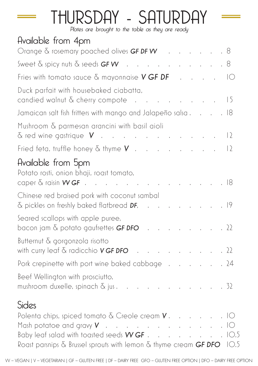## THURSDAY - SATURDAY

Plates are brought to the table as they are ready

| Available from 4pm                                                                                                                |           |
|-----------------------------------------------------------------------------------------------------------------------------------|-----------|
| Orange & rosemary poached olives GF DF W 8                                                                                        |           |
| Sweet $\delta$ spicy nuts $\delta$ seeds <b>GF W</b> 8                                                                            |           |
| Fries with tomato sauce $\delta$ mayonnaise <b>V GF DF</b> IO                                                                     |           |
| Duck parfait with housebaked ciabatta,<br>and the contract of the contract of the<br>candied walnut $\delta$ cherry compote       | $\vert 5$ |
| Jamaican salt fish fritters with mango and Jalapeño salsa 18                                                                      |           |
| Mushroom & parmesan arancini with basil aioli<br>$\delta$ red wine gastrique $V$                                                  | 2         |
| Fried feta, truffle honey $\delta$ thyme $\boldsymbol{V}$                                                                         | 2         |
| Available from 5pm<br>Potato rosti, onion bhaji, roast tomato,<br>caper $\&$ raisin $WGF$ 18                                      |           |
| Chinese red braised pork with coconut sambal<br>& pickles on freshly baked flatbread DF, 19                                       |           |
| Seared scallops with apple puree,<br>bacon jam $\delta$ potato gaufrettes <b>GF DFO</b> 22                                        |           |
| Butternut & gorgonzola risotto<br>with curry leaf $\delta$ radicchio <b>V GF DFO</b> 22                                           |           |
| Pork crepinette with port wine baked cabbage                                                                                      | .24       |
| Beef Wellington with prosciutto,<br>mushroom duxelle, spinach $\delta$ jus. $\ldots$ $\ldots$ $\ldots$ $\ldots$ $\ldots$ $\ldots$ |           |
| Sides                                                                                                                             |           |
| Mash potatoe and gravy $V$ 10<br>Baby leaf salad with toasted seeds WGF 10.5                                                      |           |
| Roast parsnips $\delta$ Brussel sprouts with lemon $\delta$ thyme cream GF DFO 10.5                                               |           |